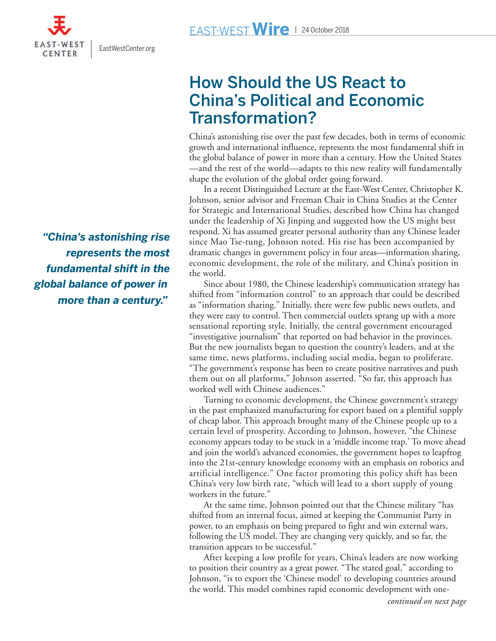[EastWestCenter.org](www.EastWestCenter.org)

*"China's astonishing rise represents the most fundamental shift in the global balance of power in*

## **How Should the US React to China's Political and Economic Transformation?**

China's astonishing rise over the past few decades, both in terms of economic growth and international influence, represents the most fundamental shift in the global balance of power in more than a century. How the United States —and the rest of the world—adapts to this new reality will fundamentally shape the evolution of the global order going forward.

 In a recent Distinguished Lecture at the East-West Center, Christopher K. Johnson, senior advisor and Freeman Chair in China Studies at the Center for Strategic and International Studies, described how China has changed under the leadership of Xi Jinping and suggested how the US might best respond. Xi has assumed greater personal authority than any Chinese leader since Mao Tse-tung, Johnson noted. His rise has been accompanied by dramatic changes in government policy in four areas—information sharing, economic development, the role of the military, and China's position in the world.

 Since about 1980, the Chinese leadership's communication strategy has shifted from "information control" to an approach that could be described as "information sharing." Initially, there were few public news outlets, and they were easy to control. Then commercial outlets sprang up with a more sensational reporting style. Initially, the central government encouraged "investigative journalism" that reported on bad behavior in the provinces. But the new journalists began to question the country's leaders, and at the same time, news platforms, including social media, began to proliferate. "The government's response has been to create positive narratives and push them out on all platforms," Johnson asserted. "So far, this approach has worked well with Chinese audiences."

 Turning to economic development, the Chinese government's strategy in the past emphasized manufacturing for export based on a plentiful supply of cheap labor. This approach brought many of the Chinese people up to a certain level of prosperity. According to Johnson, however, "the Chinese economy appears today to be stuck in a 'middle income trap.' To move ahead and join the world's advanced economies, the government hopes to leapfrog into the 21st-century knowledge economy with an emphasis on robotics and artificial intelligence." One factor promoting this policy shift has been China's very low birth rate, "which will lead to a short supply of young workers in the future."

 At the same time, Johnson pointed out that the Chinese military "has shifted from an internal focus, aimed at keeping the Communist Party in power, to an emphasis on being prepared to fight and win external wars, following the US model. They are changing very quickly, and so far, the transition appears to be successful."

 After keeping a low profile for years, China's leaders are now working to position their country as a great power. "The stated goal," according to Johnson, "is to export the 'Chinese model' to developing countries around the world. This model combines rapid economic development with one-

*more than a century."*